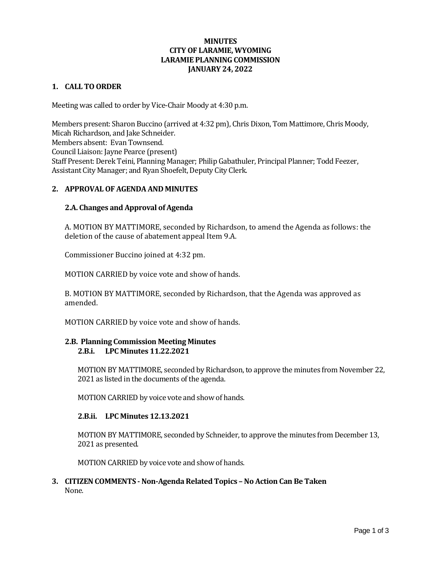# **MINUTES CITY OF LARAMIE, WYOMING LARAMIE PLANNING COMMISSION JANUARY 24, 2022**

### **1. CALL TO ORDER**

Meeting was called to order by Vice-Chair Moody at 4:30 p.m.

Members present: Sharon Buccino (arrived at 4:32 pm), Chris Dixon, Tom Mattimore, Chris Moody, Micah Richardson, and Jake Schneider. Members absent: Evan Townsend. Council Liaison: Jayne Pearce (present) Staff Present: Derek Teini, Planning Manager; Philip Gabathuler, Principal Planner; Todd Feezer, Assistant City Manager; and Ryan Shoefelt, Deputy City Clerk.

#### **2. APPROVAL OF AGENDA AND MINUTES**

#### **2.A. Changes and Approval of Agenda**

A. MOTION BY MATTIMORE, seconded by Richardson, to amend the Agenda as follows: the deletion of the cause of abatement appeal Item 9.A.

Commissioner Buccino joined at 4:32 pm.

MOTION CARRIED by voice vote and show of hands.

B. MOTION BY MATTIMORE, seconded by Richardson, that the Agenda was approved as amended.

MOTION CARRIED by voice vote and show of hands.

### **2.B. Planning Commission Meeting Minutes 2.B.i. LPC Minutes 11.22.2021**

MOTION BY MATTIMORE, seconded by Richardson, to approve the minutes from November 22, 2021 as listed in the documents of the agenda.

MOTION CARRIED by voice vote and show of hands.

#### **2.B.ii. LPC Minutes 12.13.2021**

MOTION BY MATTIMORE, seconded by Schneider, to approve the minutes from December 13, 2021 as presented.

MOTION CARRIED by voice vote and show of hands.

#### **3. CITIZEN COMMENTS - Non-Agenda Related Topics – No Action Can Be Taken** None.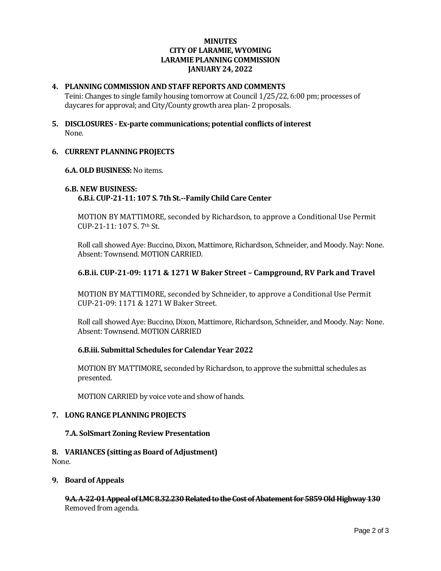# **MINUTES CITY OF LARAMIE, WYOMING LARAMIE PLANNING COMMISSION JANUARY 24, 2022**

### **4. PLANNING COMMISSION AND STAFF REPORTS AND COMMENTS**

Teini: Changes to single family housing tomorrow at Council 1/25/22, 6:00 pm; processes of daycares for approval; and City/County growth area plan- 2 proposals.

**5. DISCLOSURES - Ex-parte communications; potential conflicts of interest** None.

### **6. CURRENT PLANNING PROJECTS**

### **6.A. OLD BUSINESS:**No items.

### **6.B. NEW BUSINESS: 6.B.i. CUP-21-11: 107 S. 7th St.--Family Child Care Center**

MOTION BY MATTIMORE, seconded by Richardson, to approve a Conditional Use Permit CUP-21-11: 107 S. 7th St.

Roll call showed Aye: Buccino, Dixon, Mattimore, Richardson, Schneider, and Moody. Nay: None. Absent: Townsend. MOTION CARRIED.

# **6.B.ii. CUP-21-09: 1171 & 1271 W Baker Street – Campground, RV Park and Travel**

MOTION BY MATTIMORE, seconded by Schneider, to approve a Conditional Use Permit CUP-21-09: 1171 & 1271 W Baker Street.

Roll call showed Aye: Buccino, Dixon, Mattimore, Richardson, Schneider, and Moody. Nay: None. Absent: Townsend. MOTION CARRIED

### **6.B.iii. Submittal Schedules for Calendar Year 2022**

MOTION BY MATTIMORE, seconded by Richardson, to approve the submittal schedules as presented.

MOTION CARRIED by voice vote and show of hands.

### **7. LONG RANGE PLANNING PROJECTS**

#### **7.A. SolSmart Zoning Review Presentation**

#### **8. VARIANCES (sitting as Board of Adjustment)** None.

## **9. Board of Appeals**

**9.A. A-22-01 Appeal of LMC 8.32.230 Related to the Cost of Abatement for 5859 Old Highway 130** Removed from agenda.